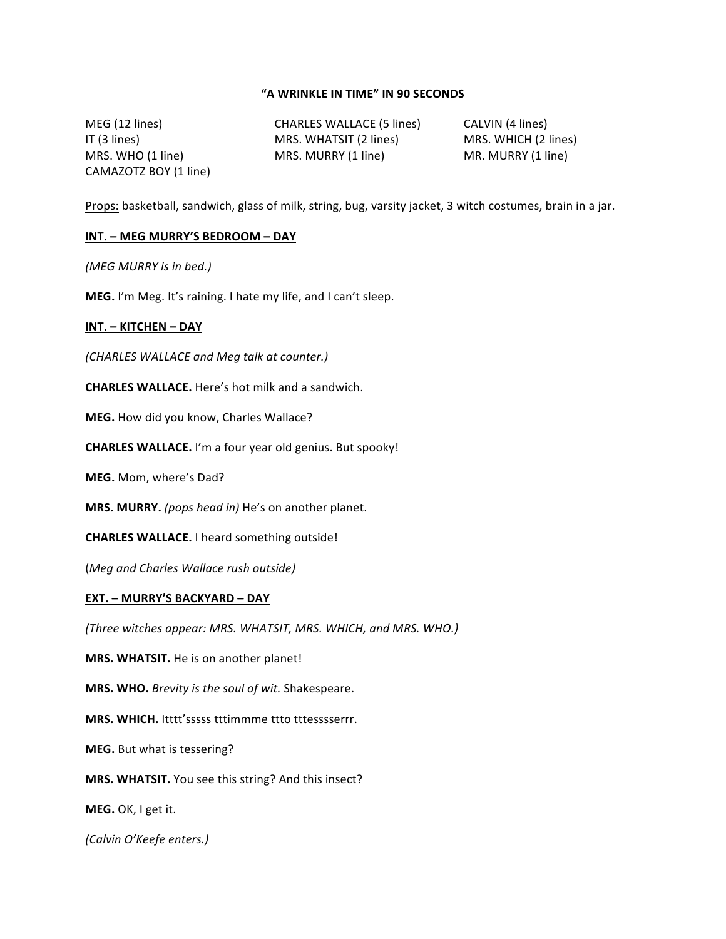## **"A WRINKLE IN TIME" IN 90 SECONDS**

MEG (12 lines) CHARLES WALLACE (5 lines) CALVIN (4 lines) CAMAZOTZ BOY (1 line)

IT (3 lines) MRS. WHATSIT (2 lines) MRS. WHICH (2 lines) MRS. WHO (1 line) MRS. MURRY (1 line) MR. MURRY (1 line)

Props: basketball, sandwich, glass of milk, string, bug, varsity jacket, 3 witch costumes, brain in a jar.

### **INT.** – MEG MURRY'S BEDROOM – DAY

*(MEG MURRY is in bed.)*

**MEG.** I'm Meg. It's raining. I hate my life, and I can't sleep.

#### **INT. – KITCHEN – DAY**

*(CHARLES WALLACE and Meg talk at counter.)*

**CHARLES WALLACE.** Here's hot milk and a sandwich.

**MEG.** How did you know, Charles Wallace?

**CHARLES WALLACE.** I'm a four year old genius. But spooky!

**MEG.** Mom, where's Dad?

**MRS. MURRY.** (pops head in) He's on another planet.

**CHARLES WALLACE.** I heard something outside!

(*Meg and Charles Wallace rush outside)*

#### **EXT. – MURRY'S BACKYARD – DAY**

*(Three witches appear: MRS. WHATSIT, MRS. WHICH, and MRS. WHO.)*

**MRS. WHATSIT.** He is on another planet!

**MRS. WHO.** Brevity is the soul of wit. Shakespeare.

MRS. WHICH. Itttt'sssss tttimmme ttto tttesssserrr.

**MEG.** But what is tessering?

**MRS. WHATSIT.** You see this string? And this insect?

**MEG.** OK, I get it.

*(Calvin O'Keefe enters.)*